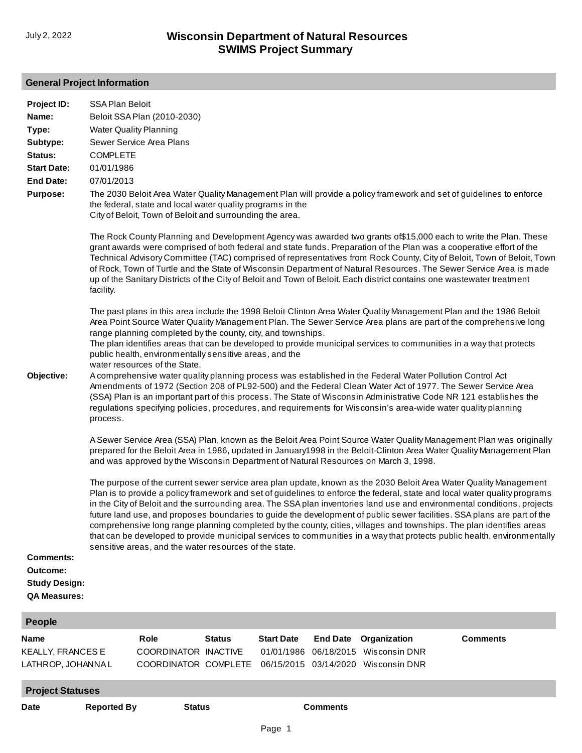## **General Project Information**

| Project ID:<br>Name:<br>Type:<br>Subtype:<br>Status:<br><b>Start Date:</b><br><b>End Date:</b><br><b>Purpose:</b> | <b>SSA Plan Beloit</b><br><b>COMPLETE</b><br>01/01/1986<br>07/01/2013<br>facility.                                                                                                                                                                                                                                                                                                                                                                                                                                                                                                                                                                                                                                                                                                                                                                                                                                                                                                                                                                                                                                                                          | Beloit SSA Plan (2010-2030)<br><b>Water Quality Planning</b><br>Sewer Service Area Plans<br>the federal, state and local water quality programs in the<br>City of Beloit, Town of Beloit and surrounding the area. |               |                                               |                 | up of the Sanitary Districts of the City of Beloit and Town of Beloit. Each district contains one wastewater treatment | The 2030 Beloit Area Water Quality Management Plan will provide a policy framework and set of guidelines to enforce<br>The Rock County Planning and Development Agency was awarded two grants of \$15,000 each to write the Plan. These<br>grant awards were comprised of both federal and state funds. Preparation of the Plan was a cooperative effort of the<br>Technical Advisory Committee (TAC) comprised of representatives from Rock County, City of Beloit, Town of Beloit, Town<br>of Rock, Town of Turtle and the State of Wisconsin Department of Natural Resources. The Sewer Service Area is made |  |
|-------------------------------------------------------------------------------------------------------------------|-------------------------------------------------------------------------------------------------------------------------------------------------------------------------------------------------------------------------------------------------------------------------------------------------------------------------------------------------------------------------------------------------------------------------------------------------------------------------------------------------------------------------------------------------------------------------------------------------------------------------------------------------------------------------------------------------------------------------------------------------------------------------------------------------------------------------------------------------------------------------------------------------------------------------------------------------------------------------------------------------------------------------------------------------------------------------------------------------------------------------------------------------------------|--------------------------------------------------------------------------------------------------------------------------------------------------------------------------------------------------------------------|---------------|-----------------------------------------------|-----------------|------------------------------------------------------------------------------------------------------------------------|-----------------------------------------------------------------------------------------------------------------------------------------------------------------------------------------------------------------------------------------------------------------------------------------------------------------------------------------------------------------------------------------------------------------------------------------------------------------------------------------------------------------------------------------------------------------------------------------------------------------|--|
| Objective:                                                                                                        | The past plans in this area include the 1998 Beloit-Clinton Area Water Quality Management Plan and the 1986 Beloit<br>Area Point Source Water Quality Management Plan. The Sewer Service Area plans are part of the comprehensive long<br>range planning completed by the county, city, and townships.<br>The plan identifies areas that can be developed to provide municipal services to communities in a way that protects<br>public health, environmentally sensitive areas, and the<br>water resources of the State.<br>A comprehensive water quality planning process was established in the Federal Water Pollution Control Act<br>Amendments of 1972 (Section 208 of PL92-500) and the Federal Clean Water Act of 1977. The Sewer Service Area<br>(SSA) Plan is an important part of this process. The State of Wisconsin Administrative Code NR 121 establishes the<br>regulations specifying policies, procedures, and requirements for Wisconsin's area-wide water quality planning<br>process.                                                                                                                                                  |                                                                                                                                                                                                                    |               |                                               |                 |                                                                                                                        |                                                                                                                                                                                                                                                                                                                                                                                                                                                                                                                                                                                                                 |  |
| <b>Comments:</b><br>Outcome:<br><b>Study Design:</b><br><b>QA Measures:</b>                                       | A Sewer Service Area (SSA) Plan, known as the Beloit Area Point Source Water Quality Management Plan was originally<br>prepared for the Beloit Area in 1986, updated in January1998 in the Beloit-Clinton Area Water Quality Management Plan<br>and was approved by the Wisconsin Department of Natural Resources on March 3, 1998.<br>The purpose of the current sewer service area plan update, known as the 2030 Beloit Area Water Quality Management<br>Plan is to provide a policy framework and set of guidelines to enforce the federal, state and local water quality programs<br>in the City of Beloit and the surrounding area. The SSA plan inventories land use and environmental conditions, projects<br>future land use, and proposes boundaries to guide the development of public sewer facilities. SSA plans are part of the<br>comprehensive long range planning completed by the county, cities, villages and townships. The plan identifies areas<br>that can be developed to provide municipal services to communities in a way that protects public health, environmentally<br>sensitive areas, and the water resources of the state. |                                                                                                                                                                                                                    |               |                                               |                 |                                                                                                                        |                                                                                                                                                                                                                                                                                                                                                                                                                                                                                                                                                                                                                 |  |
| <b>People</b>                                                                                                     |                                                                                                                                                                                                                                                                                                                                                                                                                                                                                                                                                                                                                                                                                                                                                                                                                                                                                                                                                                                                                                                                                                                                                             |                                                                                                                                                                                                                    |               |                                               |                 |                                                                                                                        |                                                                                                                                                                                                                                                                                                                                                                                                                                                                                                                                                                                                                 |  |
| <b>Name</b><br>KEALLY, FRANCES E<br>LATHROP, JOHANNA L                                                            |                                                                                                                                                                                                                                                                                                                                                                                                                                                                                                                                                                                                                                                                                                                                                                                                                                                                                                                                                                                                                                                                                                                                                             | Role<br>COORDINATOR INACTIVE<br>COORDINATOR COMPLETE                                                                                                                                                               | <b>Status</b> | <b>Start Date</b><br>01/01/1986<br>06/15/2015 | <b>End Date</b> | Organization<br>06/18/2015 Wisconsin DNR<br>03/14/2020 Wisconsin DNR                                                   | <b>Comments</b>                                                                                                                                                                                                                                                                                                                                                                                                                                                                                                                                                                                                 |  |

**Project Statuses**

**Date Reported By Status Comments**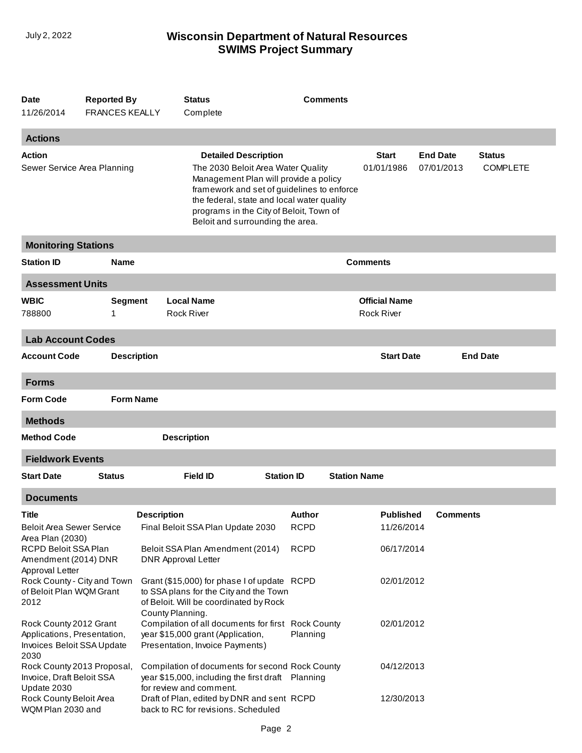## **SWIMS Project Summary** July 2, 2022 **Wisconsin Department of Natural Resources**

| <b>Date</b><br>11/26/2014                                                                   | <b>Reported By</b><br><b>FRANCES KEALLY</b> |                                                                                   | <b>Comments</b><br><b>Status</b><br>Complete                                                                                                                                                                                                                                          |                   |                       |                     |                                           |                               |                                  |
|---------------------------------------------------------------------------------------------|---------------------------------------------|-----------------------------------------------------------------------------------|---------------------------------------------------------------------------------------------------------------------------------------------------------------------------------------------------------------------------------------------------------------------------------------|-------------------|-----------------------|---------------------|-------------------------------------------|-------------------------------|----------------------------------|
| <b>Actions</b>                                                                              |                                             |                                                                                   |                                                                                                                                                                                                                                                                                       |                   |                       |                     |                                           |                               |                                  |
| Action<br>Sewer Service Area Planning                                                       |                                             |                                                                                   | <b>Detailed Description</b><br>The 2030 Beloit Area Water Quality<br>Management Plan will provide a policy<br>framework and set of guidelines to enforce<br>the federal, state and local water quality<br>programs in the City of Beloit, Town of<br>Beloit and surrounding the area. |                   |                       |                     | <b>Start</b><br>01/01/1986                | <b>End Date</b><br>07/01/2013 | <b>Status</b><br><b>COMPLETE</b> |
|                                                                                             | <b>Monitoring Stations</b>                  |                                                                                   |                                                                                                                                                                                                                                                                                       |                   |                       |                     |                                           |                               |                                  |
| <b>Station ID</b>                                                                           | <b>Name</b>                                 |                                                                                   |                                                                                                                                                                                                                                                                                       |                   |                       |                     | <b>Comments</b>                           |                               |                                  |
| <b>Assessment Units</b>                                                                     |                                             |                                                                                   |                                                                                                                                                                                                                                                                                       |                   |                       |                     |                                           |                               |                                  |
| <b>WBIC</b><br>788800                                                                       | <b>Segment</b><br>1                         |                                                                                   | <b>Local Name</b><br><b>Rock River</b>                                                                                                                                                                                                                                                |                   |                       |                     | <b>Official Name</b><br><b>Rock River</b> |                               |                                  |
| <b>Lab Account Codes</b>                                                                    |                                             |                                                                                   |                                                                                                                                                                                                                                                                                       |                   |                       |                     |                                           |                               |                                  |
| <b>Account Code</b>                                                                         |                                             | <b>Description</b>                                                                |                                                                                                                                                                                                                                                                                       |                   |                       |                     | <b>Start Date</b>                         |                               | <b>End Date</b>                  |
| <b>Forms</b>                                                                                |                                             |                                                                                   |                                                                                                                                                                                                                                                                                       |                   |                       |                     |                                           |                               |                                  |
| <b>Form Code</b>                                                                            |                                             | <b>Form Name</b>                                                                  |                                                                                                                                                                                                                                                                                       |                   |                       |                     |                                           |                               |                                  |
| <b>Methods</b>                                                                              |                                             |                                                                                   |                                                                                                                                                                                                                                                                                       |                   |                       |                     |                                           |                               |                                  |
| <b>Method Code</b>                                                                          |                                             |                                                                                   | <b>Description</b>                                                                                                                                                                                                                                                                    |                   |                       |                     |                                           |                               |                                  |
| <b>Fieldwork Events</b>                                                                     |                                             |                                                                                   |                                                                                                                                                                                                                                                                                       |                   |                       |                     |                                           |                               |                                  |
| <b>Start Date</b>                                                                           | <b>Status</b>                               |                                                                                   | <b>Field ID</b>                                                                                                                                                                                                                                                                       | <b>Station ID</b> |                       | <b>Station Name</b> |                                           |                               |                                  |
| <b>Documents</b>                                                                            |                                             |                                                                                   |                                                                                                                                                                                                                                                                                       |                   |                       |                     |                                           |                               |                                  |
| Title<br><b>Beloit Area Sewer Service</b><br>Area Plan (2030)                               |                                             | <b>Description</b>                                                                | Final Beloit SSA Plan Update 2030                                                                                                                                                                                                                                                     |                   | Author<br><b>RCPD</b> |                     | Published<br>11/26/2014                   | <b>Comments</b>               |                                  |
| RCPD Beloit SSA Plan<br>Amendment (2014) DNR<br>Approval Letter                             |                                             | <b>DNR Approval Letter</b>                                                        | Beloit SSA Plan Amendment (2014)                                                                                                                                                                                                                                                      |                   | <b>RCPD</b>           |                     | 06/17/2014                                |                               |                                  |
| Rock County - City and Town<br>of Beloit Plan WQM Grant<br>2012                             |                                             | County Planning.                                                                  | Grant (\$15,000) for phase I of update RCPD<br>to SSA plans for the City and the Town<br>of Beloit. Will be coordinated by Rock                                                                                                                                                       |                   |                       |                     | 02/01/2012                                |                               |                                  |
| Rock County 2012 Grant<br>Applications, Presentation,<br>Invoices Beloit SSA Update<br>2030 |                                             |                                                                                   | Compilation of all documents for first Rock County<br>year \$15,000 grant (Application,<br>Presentation, Invoice Payments)                                                                                                                                                            |                   | Planning              |                     | 02/01/2012                                |                               |                                  |
| Rock County 2013 Proposal,<br>Invoice, Draft Beloit SSA<br>Update 2030                      |                                             |                                                                                   | Compilation of documents for second Rock County<br>year \$15,000, including the first draft Planning<br>for review and comment.                                                                                                                                                       |                   |                       |                     | 04/12/2013                                |                               |                                  |
| Rock County Beloit Area<br>WQM Plan 2030 and                                                |                                             | Draft of Plan, edited by DNR and sent RCPD<br>back to RC for revisions. Scheduled |                                                                                                                                                                                                                                                                                       |                   |                       | 12/30/2013          |                                           |                               |                                  |